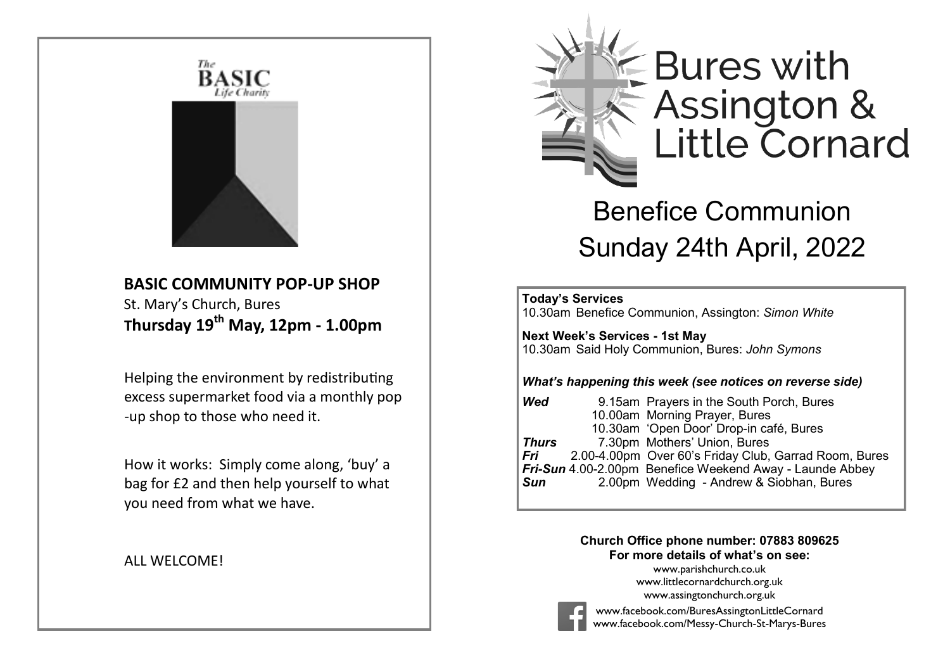

## **BASIC COMMUNITY POP-UP SHOP** St. Mary's Church, Bures **Thursday 19th May, 12pm - 1.00pm**

 Helping the environment by redistributing excess supermarket food via a monthly pop -up shop to those who need it.

 How it works: Simply come along, 'buy' a bag for £2 and then help yourself to what you need from what we have.

#### ALL WELCOME!



# Benefice Communion Sunday 24th April, 2022

#### İ **Today's Services**

10.30am Benefice Communion, Assington: *Simon White*

**Next Week's Services - 1st May** 10.30am Said Holy Communion, Bures: *John Symons*

#### *What's happening this week (see notices on reverse side)*

| 9.15am Prayers in the South Porch, Bures                 |
|----------------------------------------------------------|
| 10.00am Morning Prayer, Bures                            |
| 10.30am 'Open Door' Drop-in café, Bures                  |
| 7.30pm Mothers' Union, Bures                             |
| 2.00-4.00pm Over 60's Friday Club, Garrad Room, Bures    |
| Fri-Sun 4.00-2.00pm Benefice Weekend Away - Launde Abbey |
| 2.00pm Wedding - Andrew & Siobhan, Bures                 |
|                                                          |

#### **Church Office phone number: 07883 809625 For more details of what's on see:**

[www.parishchurch.co.uk](http://www.parishchurch.co.uk/) [www.littlecornardchurch.org.uk](http://www.littlecornardchurch.org.uk/) [www.assingtonchurch.org.uk](https://assingtonchurch.org.uk/)



[www.facebook.com/BuresAssingtonLittleCornard](https://www.facebook.com/BuresAssingtonLittleCornard) [www.facebook.com/Messy-Church-St-Marys-Bures](https://www.facebook.com/Messy-Church-St-Marys-Bures)